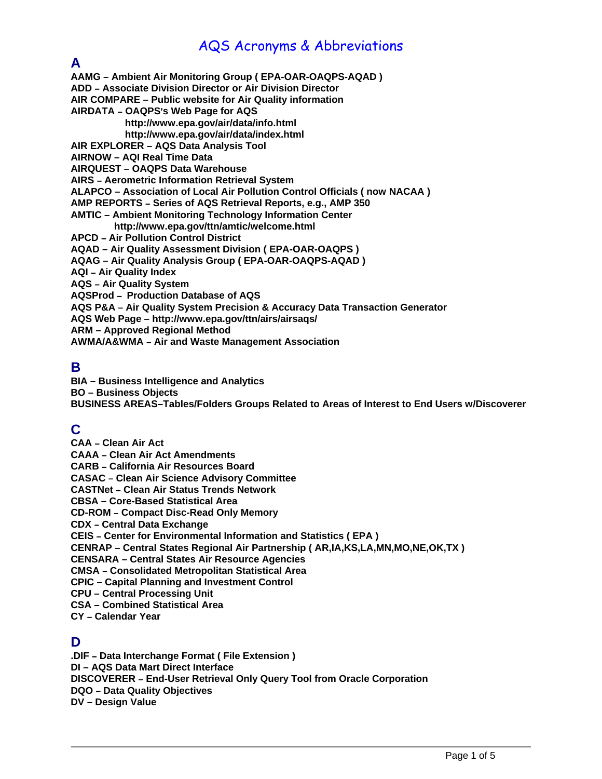## AQS Acronyms & Abbreviations

### **A**

**AAMG – Ambient Air Monitoring Group ( EPA-OAR-OAQPS-AQAD )** 

**ADD** B **Associate Division Director or Air Division Director** 

**AIR COMPARE – Public website for Air Quality information** 

**AIRDATA - OAQPS's Web Page for AQS** 

 **<http://www.epa.gov/air/data/info.html> <http://www.epa.gov/air/data/index.html>**

**AIR EXPLORER – AQS Data Analysis Tool** 

**AIRNOW – AQI Real Time Data** 

**AIRQUEST – OAQPS Data Warehouse** 

**AIRS** B **Aerometric Information Retrieval System** 

**ALAPCO – Association of Local Air Pollution Control Officials ( now NACAA )** 

AMP REPORTS – Series of AQS Retrieval Reports, e.g., AMP 350

**AMTIC – Ambient Monitoring Technology Information Center** 

 **http://www.epa.gov/ttn/amtic/welcome.html** 

**APCD - Air Pollution Control District** 

**AQAD – Air Quality Assessment Division ( EPA-OAR-OAQPS )** 

**AQAG – Air Quality Analysis Group ( EPA-OAR-OAQPS-AQAD )** 

**AQI** B **Air Quality Index** 

**AQS - Air Quality System** 

**AQSProd - Production Database of AQS** 

**AQS P&A** B **Air Quality System Precision & Accuracy Data Transaction Generator** 

**AQS Web Page – <http://www.epa.gov/ttn/airs/airsaqs/>**

**ARM – Approved Regional Method** 

**AWMA/A&WMA - Air and Waste Management Association** 

#### **B**

**BIA – Business Intelligence and Analytics BO – Business Objects BUSINESS AREAS–Tables/Folders Groups Related to Areas of Interest to End Users w/Discoverer** 

## **C**

**CAA - Clean Air Act CAAA - Clean Air Act Amendments CARB - California Air Resources Board CASAC - Clean Air Science Advisory Committee CASTNet - Clean Air Status Trends Network CBSA – Core-Based Statistical Area CD-ROM - Compact Disc-Read Only Memory CDX - Central Data Exchange CEIS - Center for Environmental Information and Statistics ( EPA ) CENRAP – Central States Regional Air Partnership ( AR,IA,KS,LA,MN,MO,NE,OK,TX ) CENSARA – Central States Air Resource Agencies CMSA** B **Consolidated Metropolitan Statistical Area CPIC – Capital Planning and Investment Control CPU – Central Processing Unit CSA – Combined Statistical Area CY** B **Calendar Year** 

### **D**

**.DIF - Data Interchange Format ( File Extension ) DI – AQS Data Mart Direct Interface DISCOVERER - End-User Retrieval Only Query Tool from Oracle Corporation DQO** – Data Quality Objectives **DV – Design Value**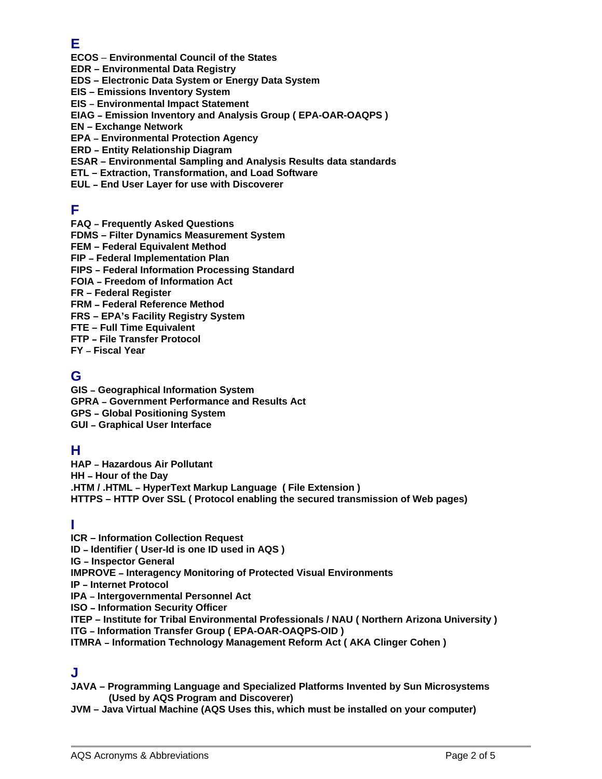## **E**

**ECOS** – **Environmental Council of the States** 

**EDR – Environmental Data Registry** 

**EDS – Electronic Data System or Energy Data System** 

**EIS – Emissions Inventory System** 

**EIS - Environmental Impact Statement** 

**EIAG - Emission Inventory and Analysis Group (EPA-OAR-OAQPS)** 

**EN – Exchange Network** 

**EPA - Environmental Protection Agency** 

**ERD - Entity Relationship Diagram** 

**ESAR – Environmental Sampling and Analysis Results data standards** 

**ETL – Extraction, Transformation, and Load Software** 

**EUL - End User Layer for use with Discoverer** 

### **F**

**FAQ - Frequently Asked Questions** 

**FDMS – Filter Dynamics Measurement System** 

**FEM – Federal Equivalent Method** 

**FIP - Federal Implementation Plan** 

**FIPS - Federal Information Processing Standard** 

**FOIA - Freedom of Information Act** 

**FR – Federal Register** 

**FRM - Federal Reference Method** 

**FRS – EPA's Facility Registry System** 

**FTE – Full Time Equivalent** 

**FTP - File Transfer Protocol** 

**FY** - Fiscal Year

#### **G**

**GIS** B **Geographical Information System GPRA - Government Performance and Results Act GPS - Global Positioning System GUI - Graphical User Interface** 

### **H**

**HAP - Hazardous Air Pollutant HH - Hour of the Day .HTM / .HTML - HyperText Markup Language ( File Extension ) HTTPS – HTTP Over SSL ( Protocol enabling the secured transmission of Web pages)** 

#### **I**

**ICR – Information Collection Request ID - Identifier ( User-Id is one ID used in AQS ) IG - Inspector General IMPROVE - Interagency Monitoring of Protected Visual Environments IP - Internet Protocol IPA - Intergovernmental Personnel Act ISO - Information Security Officer ITEP – Institute for Tribal Environmental Professionals / NAU ( Northern Arizona University ) ITG - Information Transfer Group ( EPA-OAR-OAQPS-OID )** 

**ITMRA - Information Technology Management Reform Act ( AKA Clinger Cohen )** 

### **J**

**JAVA – Programming Language and Specialized Platforms Invented by Sun Microsystems (Used by AQS Program and Discoverer)** 

**JVM – Java Virtual Machine (AQS Uses this, which must be installed on your computer)**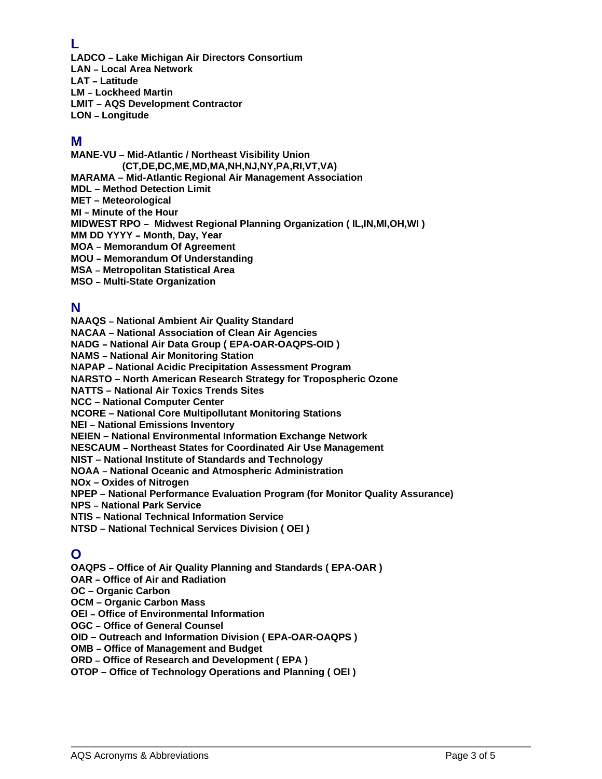#### **L**

**LADCO - Lake Michigan Air Directors Consortium LAN - Local Area Network LAT - Latitude LM - Lockheed Martin LMIT – AQS Development Contractor LON - Longitude** 

### **M**

**MANE-VU – Mid-Atlantic / Northeast Visibility Union (CT,DE,DC,ME,MD,MA,NH,NJ,NY,PA,RI,VT,VA) MARAMA – Mid-Atlantic Regional Air Management Association MDL – Method Detection Limit MET – Meteorological MI - Minute of the Hour MIDWEST RPO – Midwest Regional Planning Organization ( IL,IN,MI,OH,WI ) MM DD YYYY - Month, Day, Year MOA - Memorandum Of Agreement MOU - Memorandum Of Understanding MSA - Metropolitan Statistical Area MSO - Multi-State Organization** 

## **N**

**NAAQS - National Ambient Air Quality Standard** 

**NACAA – National Association of Clean Air Agencies** 

**NADG - National Air Data Group ( EPA-OAR-OAQPS-OID )** 

**NAMS - National Air Monitoring Station** 

**NAPAP - National Acidic Precipitation Assessment Program** 

**NARSTO – North American Research Strategy for Tropospheric Ozone** 

**NATTS – National Air Toxics Trends Sites** 

**NCC – National Computer Center** 

**NCORE – National Core Multipollutant Monitoring Stations** 

**NEI – National Emissions Inventory** 

**NEIEN – National Environmental Information Exchange Network** 

**NESCAUM - Northeast States for Coordinated Air Use Management** 

**NIST – National Institute of Standards and Technology** 

**NOAA - National Oceanic and Atmospheric Administration** 

**NOx – Oxides of Nitrogen** 

**NPEP – National Performance Evaluation Program (for Monitor Quality Assurance)** 

**NPS - National Park Service** 

**NTIS - National Technical Information Service** 

**NTSD – National Technical Services Division ( OEI )** 

## **O**

**OAQPS - Office of Air Quality Planning and Standards (EPA-OAR ) OAR - Office of Air and Radiation OC – Organic Carbon OCM – Organic Carbon Mass OEI - Office of Environmental Information OGC - Office of General Counsel OID – Outreach and Information Division ( EPA-OAR-OAQPS ) OMB - Office of Management and Budget ORD - Office of Research and Development (EPA)** 

**OTOP – Office of Technology Operations and Planning ( OEI )**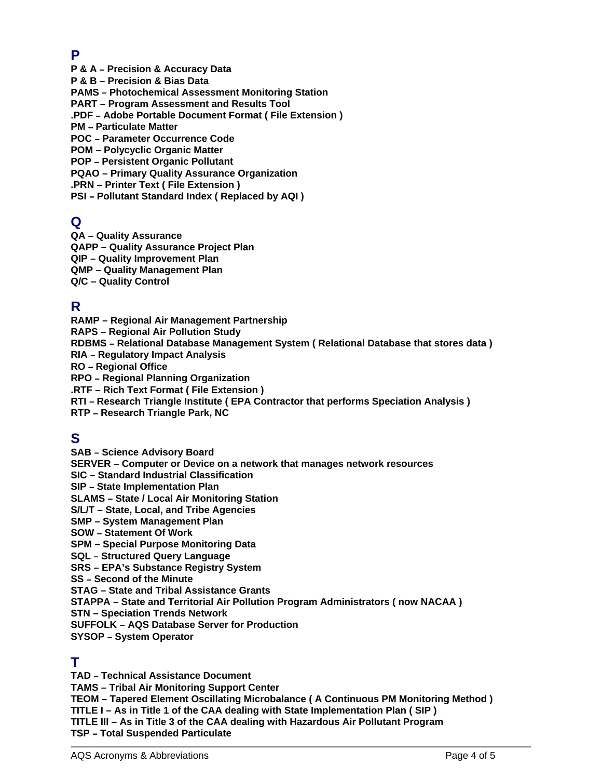## **P**

**P & A - Precision & Accuracy Data** 

**P & B – Precision & Bias Data** 

**PAMS - Photochemical Assessment Monitoring Station** 

**PART – Program Assessment and Results Tool** 

**.PDF - Adobe Portable Document Format ( File Extension )** 

**PM - Particulate Matter** 

**POC - Parameter Occurrence Code** 

**POM – Polycyclic Organic Matter** 

**POP - Persistent Organic Pollutant** 

**PQAO – Primary Quality Assurance Organization** 

**.PRN – Printer Text ( File Extension )** 

**PSI - Pollutant Standard Index ( Replaced by AQI )** 

## **Q**

**QA – Quality Assurance QAPP – Quality Assurance Project Plan QIP – Quality Improvement Plan QMP – Quality Management Plan Q/C – Quality Control** 

### **R**

**RAMP – Regional Air Management Partnership RAPS – Regional Air Pollution Study RDBMS** B **Relational Database Management System ( Relational Database that stores data ) RIA - Regulatory Impact Analysis RO** - Regional Office **RPO - Regional Planning Organization .RTF – Rich Text Format ( File Extension ) RTI** B **Research Triangle Institute ( EPA Contractor that performs Speciation Analysis ) RTP - Research Triangle Park, NC** 

## **S**

**SAB - Science Advisory Board SERVER – Computer or Device on a network that manages network resources SIC – Standard Industrial Classification SIP - State Implementation Plan SLAMS - State / Local Air Monitoring Station S/L/T – State, Local, and Tribe Agencies SMP – System Management Plan SOW - Statement Of Work SPM – Special Purpose Monitoring Data SQL - Structured Query Language SRS – EPA's Substance Registry System SS - Second of the Minute STAG – State and Tribal Assistance Grants STAPPA – State and Territorial Air Pollution Program Administrators ( now NACAA ) STN – Speciation Trends Network SUFFOLK – AQS Database Server for Production SYSOP - System Operator** 

#### **T**

**TAD - Technical Assistance Document TAMS – Tribal Air Monitoring Support Center TEOM – Tapered Element Oscillating Microbalance ( A Continuous PM Monitoring Method ) TITLE I – As in Title 1 of the CAA dealing with State Implementation Plan ( SIP ) TITLE III – As in Title 3 of the CAA dealing with Hazardous Air Pollutant Program TSP - Total Suspended Particulate**